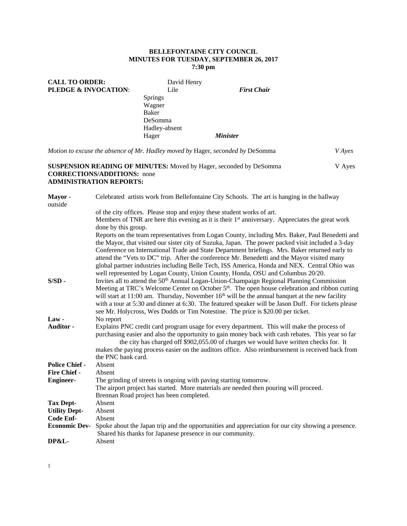## **BELLEFONTAINE CITY COUNCIL MINUTES FOR TUESDAY, SEPTEMBER 26, 2017 7:30 pm**

| <b>CALL TO ORDER:</b> | David Henry    |                        |
|-----------------------|----------------|------------------------|
| PLEDGE & INVOCATION:  | Lile           | <b>First Chair</b>     |
|                       | <b>Springs</b> |                        |
|                       | Wagner         |                        |
|                       | Baker          |                        |
|                       | DeSomma        |                        |
|                       | Hadley-absent  |                        |
|                       | Hager          | <i><b>Minister</b></i> |
|                       |                |                        |

*Motion to excuse the absence of Mr. Hadley moved by* Hager*, seconded by* DeSomma *V Ayes*  **SUSPENSION READING OF MINUTES:** Moved by Hager, seconded by DeSomma V Ayes **CORRECTIONS/ADDITIONS:** none

# **ADMINISTRATION REPORTS:**

| Mayor-<br>outside     | Celebrated artists work from Bellefontaine City Schools. The art is hanging in the hallway                                                                                                                                                                                                                                                                                                                         |
|-----------------------|--------------------------------------------------------------------------------------------------------------------------------------------------------------------------------------------------------------------------------------------------------------------------------------------------------------------------------------------------------------------------------------------------------------------|
|                       | of the city offices. Please stop and enjoy these student works of art.                                                                                                                                                                                                                                                                                                                                             |
|                       | Members of TNR are here this evening as it is their $1st$ anniversary. Appreciates the great work<br>done by this group.                                                                                                                                                                                                                                                                                           |
|                       | Reports on the team representatives from Logan County, including Mrs. Baker, Paul Benedetti and                                                                                                                                                                                                                                                                                                                    |
|                       | the Mayor, that visited our sister city of Suzuka, Japan. The power packed visit included a 3-day<br>Conference on International Trade and State Department briefings. Mrs. Baker returned early to<br>attend the "Vets to DC" trip. After the conference Mr. Benedetti and the Mayor visited many<br>global partner industries including Belle Tech, ISS America, Honda and NEX. Central Ohio was                 |
| $S/SD -$              | well represented by Logan County, Union County, Honda, OSU and Columbus 20/20.<br>Invites all to attend the 50 <sup>th</sup> Annual Logan-Union-Champaign Regional Planning Commission<br>Meeting at TRC's Welcome Center on October 5 <sup>th</sup> . The open house celebration and ribbon cutting                                                                                                               |
|                       | will start at 11:00 am. Thursday, November $16th$ will be the annual banquet at the new facility<br>with a tour at 5:30 and dinner at 6:30. The featured speaker will be Jason Duff. For tickets please<br>see Mr. Holycross, Wes Dodds or Tim Notestine. The price is \$20.00 per ticket.                                                                                                                         |
| $Law -$               | No report                                                                                                                                                                                                                                                                                                                                                                                                          |
| Auditor -             | Explains PNC credit card program usage for every department. This will make the process of<br>purchasing easier and also the opportunity to gain money back with cash rebates. This year so far<br>the city has charged off \$902,055.00 of charges we would have written checks for. It<br>makes the paying process easier on the auditors office. Also reimbursement is received back from<br>the PNC bank card. |
| <b>Police Chief -</b> | Absent                                                                                                                                                                                                                                                                                                                                                                                                             |
| <b>Fire Chief -</b>   | Absent                                                                                                                                                                                                                                                                                                                                                                                                             |
| <b>Engineer-</b>      | The grinding of streets is ongoing with paving starting tomorrow.                                                                                                                                                                                                                                                                                                                                                  |
|                       | The airport project has started. More materials are needed then pouring will proceed.<br>Brennan Road project has been completed.                                                                                                                                                                                                                                                                                  |
| <b>Tax Dept-</b>      | Absent                                                                                                                                                                                                                                                                                                                                                                                                             |
| <b>Utility Dept-</b>  | Absent                                                                                                                                                                                                                                                                                                                                                                                                             |
| Code Enf-             | Absent                                                                                                                                                                                                                                                                                                                                                                                                             |
| <b>Economic Dev-</b>  | Spoke about the Japan trip and the opportunities and appreciation for our city showing a presence.<br>Shared his thanks for Japanese presence in our community.                                                                                                                                                                                                                                                    |
| DP&L-                 | Absent                                                                                                                                                                                                                                                                                                                                                                                                             |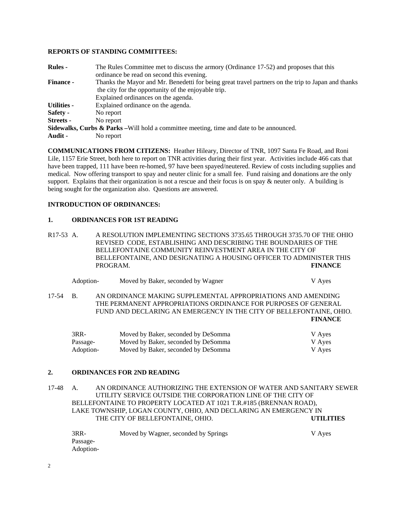## **REPORTS OF STANDING COMMITTEES:**

| <b>Rules -</b>     | The Rules Committee met to discuss the armory (Ordinance 17-52) and proposes that this              |
|--------------------|-----------------------------------------------------------------------------------------------------|
|                    | ordinance be read on second this evening.                                                           |
| <b>Finance -</b>   | Thanks the Mayor and Mr. Benedetti for being great travel partners on the trip to Japan and thanks  |
|                    | the city for the opportunity of the enjoyable trip.                                                 |
|                    | Explained ordinances on the agenda.                                                                 |
| <b>Utilities -</b> | Explained ordinance on the agenda.                                                                  |
| Safety -           | No report                                                                                           |
| Streets -          | No report                                                                                           |
|                    | <b>Sidewalks, Curbs &amp; Parks</b> – Will hold a committee meeting, time and date to be announced. |
| Audit -            | No report                                                                                           |

**COMMUNICATIONS FROM CITIZENS:** Heather Hileary, Director of TNR, 1097 Santa Fe Road, and Roni Lile, 1157 Erie Street, both here to report on TNR activities during their first year. Activities include 466 cats that have been trapped, 111 have been re-homed, 97 have been spayed/neutered. Review of costs including supplies and medical. Now offering transport to spay and neuter clinic for a small fee. Fund raising and donations are the only support. Explains that their organization is not a rescue and their focus is on spay & neuter only. A building is being sought for the organization also. Questions are answered.

## **INTRODUCTION OF ORDINANCES:**

#### **1. ORDINANCES FOR 1ST READING**

R17-53 A. A RESOLUTION IMPLEMENTING SECTIONS 3735.65 THROUGH 3735.70 OF THE OHIO REVISED CODE, ESTABLISHING AND DESCRIBING THE BOUNDARIES OF THE BELLEFONTAINE COMMUNITY REINVESTMENT AREA IN THE CITY OF BELLEFONTAINE, AND DESIGNATING A HOUSING OFFICER TO ADMINISTER THIS PROGRAM. **FINANCE** 

| Adoption- | Moved by Baker, seconded by Wagner | V Ayes |
|-----------|------------------------------------|--------|
|           |                                    |        |

17-54 B. AN ORDINANCE MAKING SUPPLEMENTAL APPROPRIATIONS AND AMENDING THE PERMANENT APPROPRIATIONS ORDINANCE FOR PURPOSES OF GENERAL FUND AND DECLARING AN EMERGENCY IN THE CITY OF BELLEFONTAINE, OHIO. **FINANCE** 

| $3RR-$    | Moved by Baker, seconded by DeSomma | V Ayes |
|-----------|-------------------------------------|--------|
| Passage-  | Moved by Baker, seconded by DeSomma | V Ayes |
| Adoption- | Moved by Baker, seconded by DeSomma | V Ayes |

#### **2. ORDINANCES FOR 2ND READING**

17-48 A. AN ORDINANCE AUTHORIZING THE EXTENSION OF WATER AND SANITARY SEWER UTILITY SERVICE OUTSIDE THE CORPORATION LINE OF THE CITY OF BELLEFONTAINE TO PROPERTY LOCATED AT 1021 T.R.#185 (BRENNAN ROAD), LAKE TOWNSHIP, LOGAN COUNTY, OHIO, AND DECLARING AN EMERGENCY IN THE CITY OF BELLEFONTAINE, OHIO. **UTILITIES** 

| $3RR-$    | Moved by Wagner, seconded by Springs | V Ayes |
|-----------|--------------------------------------|--------|
| Passage-  |                                      |        |
| Adoption- |                                      |        |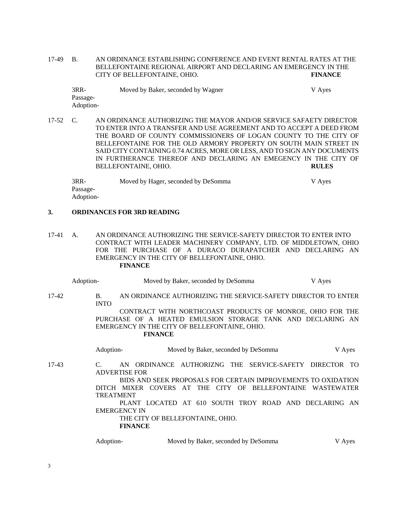17-49 B. AN ORDINANCE ESTABLISHING CONFERENCE AND EVENT RENTAL RATES AT THE BELLEFONTAINE REGIONAL AIRPORT AND DECLARING AN EMERGENCY IN THE CITY OF BELLEFONTAINE, OHIO. **FINANCE** 

| $3RR-$    | Moved by Baker, seconded by Wagner | V Ayes |
|-----------|------------------------------------|--------|
| Passage-  |                                    |        |
| Adoption- |                                    |        |

17-52 C. AN ORDINANCE AUTHORIZING THE MAYOR AND/OR SERVICE SAFAETY DIRECTOR TO ENTER INTO A TRANSFER AND USE AGREEMENT AND TO ACCEPT A DEED FROM THE BOARD OF COUNTY COMMISSIONERS OF LOGAN COUNTY TO THE CITY OF BELLEFONTAINE FOR THE OLD ARMORY PROPERTY ON SOUTH MAIN STREET IN SAID CITY CONTAINING 0.74 ACRES, MORE OR LESS, AND TO SIGN ANY DOCUMENTS IN FURTHERANCE THEREOF AND DECLARING AN EMEGENCY IN THE CITY OF BELLEFONTAINE, OHIO. **RULES** 

3RR- Moved by Hager, seconded by DeSomma V Ayes Passage-Adoption-

#### **3. ORDINANCES FOR 3RD READING**

17-41 A. AN ORDINANCE AUTHORIZING THE SERVICE-SAFETY DIRECTOR TO ENTER INTO CONTRACT WITH LEADER MACHINERY COMPANY, LTD. OF MIDDLETOWN, OHIO FOR THE PURCHASE OF A DURACO DURAPATCHER AND DECLARING AN EMERGENCY IN THE CITY OF BELLEFONTAINE, OHIO. **FINANCE** 

| Adoption- |                                   | Moved by Baker, seconded by DeSomma                                                                                                                                                                                                                                                                  |                                     |  |  | V Ayes                   |  |
|-----------|-----------------------------------|------------------------------------------------------------------------------------------------------------------------------------------------------------------------------------------------------------------------------------------------------------------------------------------------------|-------------------------------------|--|--|--------------------------|--|
| 17-42     | B.<br><b>INTO</b>                 | AN ORDINANCE AUTHORIZING THE SERVICE-SAFETY DIRECTOR TO ENTER                                                                                                                                                                                                                                        |                                     |  |  |                          |  |
|           |                                   | CONTRACT WITH NORTHCOAST PRODUCTS OF MONROE, OHIO FOR THE<br>PURCHASE OF A HEATED EMULSION STORAGE TANK AND DECLARING AN<br>EMERGENCY IN THE CITY OF BELLEFONTAINE, OHIO.<br><b>FINANCE</b>                                                                                                          |                                     |  |  |                          |  |
|           | Adoption-                         |                                                                                                                                                                                                                                                                                                      | Moved by Baker, seconded by DeSomma |  |  | V Ayes                   |  |
| 17-43     | $\mathcal{C}$<br><b>TREATMENT</b> | AN ORDINANCE AUTHORIZNG THE SERVICE-SAFETY DIRECTOR TO<br><b>ADVERTISE FOR</b><br>BIDS AND SEEK PROPOSALS FOR CERTAIN IMPROVEMENTS TO OXIDATION<br>DITCH MIXER<br>PLANT LOCATED AT 610 SOUTH TROY ROAD AND DECLARING AN<br><b>EMERGENCY IN</b><br>THE CITY OF BELLEFONTAINE, OHIO.<br><b>FINANCE</b> | COVERS AT THE CITY OF               |  |  | BELLEFONTAINE WASTEWATER |  |